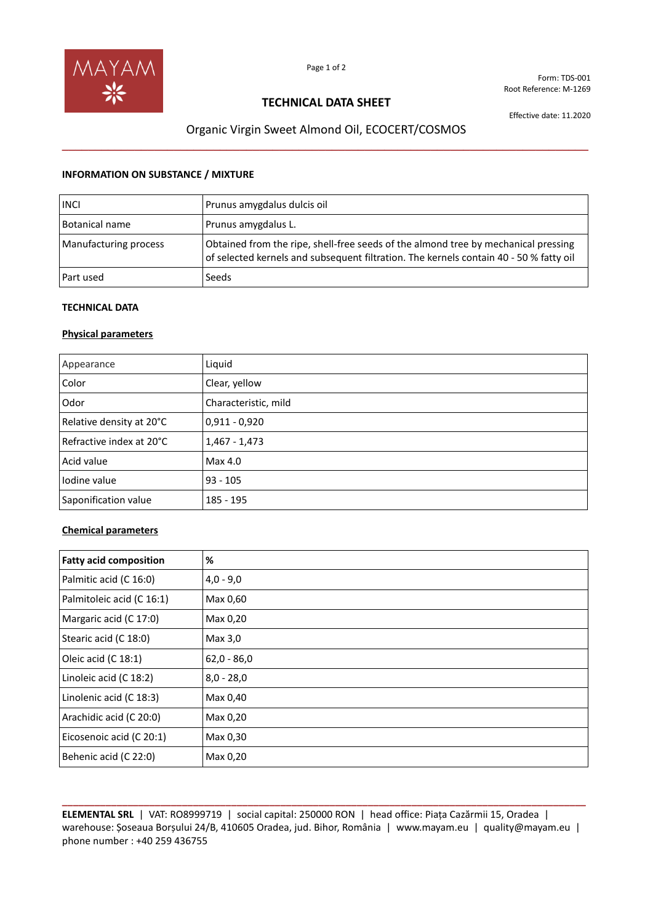

Form: TDS-001 Root Reference: M-1269

## **TECHNICAL DATA SHEET**

Effective date: 11.2020

# Organic Virgin Sweet Almond Oil, ECOCERT/COSMOS **\_\_\_\_\_\_\_\_\_\_\_\_\_\_\_\_\_\_\_\_\_\_\_\_\_\_\_\_\_\_\_\_\_\_\_\_\_\_\_\_\_\_\_\_\_\_\_\_\_\_\_\_\_\_\_\_\_\_\_\_\_\_\_\_\_\_\_\_\_\_\_\_\_\_\_\_\_\_\_\_**

### **INFORMATION ON SUBSTANCE / MIXTURE**

| <b>INCI</b>           | Prunus amygdalus dulcis oil                                                                                                                                                  |
|-----------------------|------------------------------------------------------------------------------------------------------------------------------------------------------------------------------|
| Botanical name        | Prunus amygdalus L.                                                                                                                                                          |
| Manufacturing process | Obtained from the ripe, shell-free seeds of the almond tree by mechanical pressing<br>of selected kernels and subsequent filtration. The kernels contain 40 - 50 % fatty oil |
| Part used             | Seeds                                                                                                                                                                        |

### **TECHNICAL DATA**

### **Physical parameters**

| Appearance               | Liquid               |
|--------------------------|----------------------|
| Color                    | Clear, yellow        |
| Odor                     | Characteristic, mild |
| Relative density at 20°C | $0,911 - 0,920$      |
| Refractive index at 20°C | $1,467 - 1,473$      |
| Acid value               | Max 4.0              |
| lodine value             | $93 - 105$           |
| Saponification value     | 185 - 195            |

### **Chemical parameters**

| <b>Fatty acid composition</b> | %             |
|-------------------------------|---------------|
| Palmitic acid (C 16:0)        | $4,0 - 9,0$   |
| Palmitoleic acid (C 16:1)     | Max 0,60      |
| Margaric acid (C 17:0)        | Max 0,20      |
| Stearic acid (C 18:0)         | Max 3,0       |
| Oleic acid (C 18:1)           | $62,0 - 86,0$ |
| Linoleic acid (C 18:2)        | $8,0 - 28,0$  |
| Linolenic acid (C 18:3)       | Max 0,40      |
| Arachidic acid (C 20:0)       | Max 0,20      |
| Eicosenoic acid (C 20:1)      | Max 0,30      |
| Behenic acid (C 22:0)         | Max 0,20      |

**\_\_\_\_\_\_\_\_\_\_\_\_\_\_\_\_\_\_\_\_\_\_\_\_\_\_\_\_\_\_\_\_\_\_\_\_\_\_\_\_\_\_\_\_\_\_\_\_\_\_\_\_\_\_\_\_\_\_\_\_\_\_\_\_\_\_\_\_\_\_\_\_\_\_\_\_\_\_\_\_\_\_\_\_\_\_\_\_\_\_\_\_\_\_\_\_ ELEMENTAL SRL** | VAT: RO8999719 | social capital: 250000 RON | head office: Piața Cazărmii 15, Oradea | warehouse: Șoseaua Borșului 24/B, 410605 Oradea, jud. Bihor, România | www.mayam.eu | quality@mayam.eu | phone number : +40 259 436755